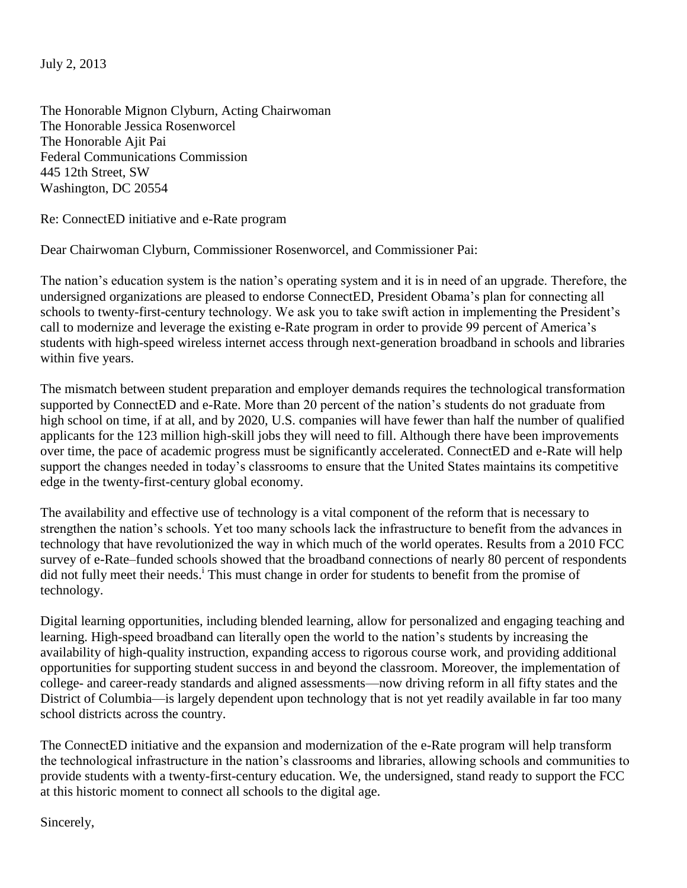July 2, 2013

The Honorable Mignon Clyburn, Acting Chairwoman The Honorable Jessica Rosenworcel The Honorable Ajit Pai Federal Communications Commission 445 12th Street, SW Washington, DC 20554

Re: ConnectED initiative and e-Rate program

Dear Chairwoman Clyburn, Commissioner Rosenworcel, and Commissioner Pai:

The nation's education system is the nation's operating system and it is in need of an upgrade. Therefore, the undersigned organizations are pleased to endorse ConnectED, President Obama's plan for connecting all schools to twenty-first-century technology. We ask you to take swift action in implementing the President's call to modernize and leverage the existing e-Rate program in order to provide 99 percent of America's students with high-speed wireless internet access through next-generation broadband in schools and libraries within five years.

The mismatch between student preparation and employer demands requires the technological transformation supported by ConnectED and e-Rate. More than 20 percent of the nation's students do not graduate from high school on time, if at all, and by 2020, U.S. companies will have fewer than half the number of qualified applicants for the 123 million high-skill jobs they will need to fill. Although there have been improvements over time, the pace of academic progress must be significantly accelerated. ConnectED and e-Rate will help support the changes needed in today's classrooms to ensure that the United States maintains its competitive edge in the twenty-first-century global economy.

The availability and effective use of technology is a vital component of the reform that is necessary to strengthen the nation's schools. Yet too many schools lack the infrastructure to benefit from the advances in technology that have revolutionized the way in which much of the world operates. Results from a 2010 FCC survey of e-Rate–funded schools showed that the broadband connections of nearly 80 percent of respondents did not fully meet their needs.<sup>1</sup> This must change in order for students to benefit from the promise of technology.

Digital learning opportunities, including blended learning, allow for personalized and engaging teaching and learning. High-speed broadband can literally open the world to the nation's students by increasing the availability of high-quality instruction, expanding access to rigorous course work, and providing additional opportunities for supporting student success in and beyond the classroom. Moreover, the implementation of college- and career-ready standards and aligned assessments—now driving reform in all fifty states and the District of Columbia—is largely dependent upon technology that is not yet readily available in far too many school districts across the country.

The ConnectED initiative and the expansion and modernization of the e-Rate program will help transform the technological infrastructure in the nation's classrooms and libraries, allowing schools and communities to provide students with a twenty-first-century education. We, the undersigned, stand ready to support the FCC at this historic moment to connect all schools to the digital age.

Sincerely,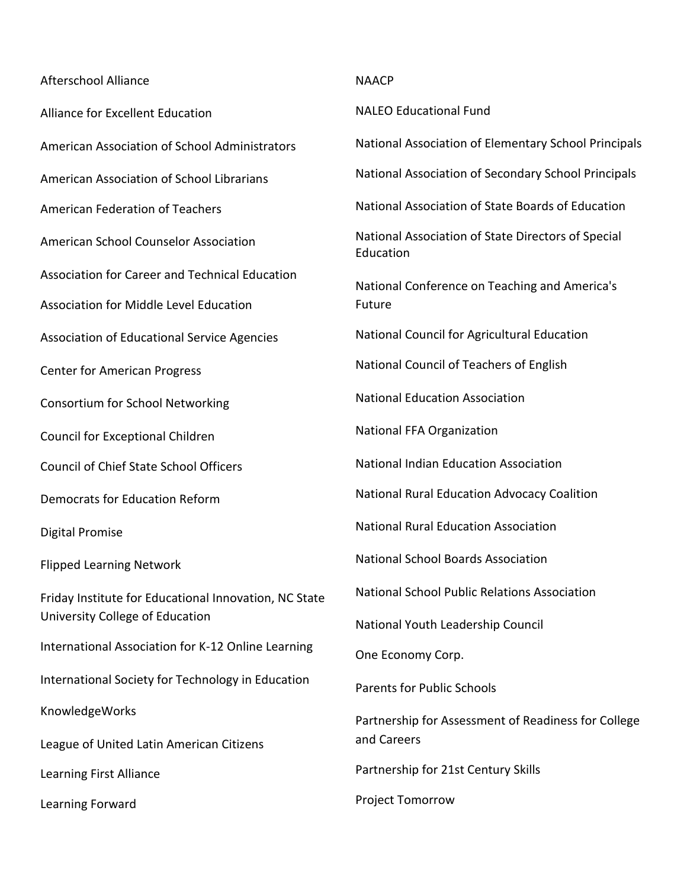## Afterschool Alliance

Alliance for Excellent Education American Association of School Administrators American Association of School Librarians American Federation of Teachers American School Counselor Association Association for Career and Technical Education Association for Middle Level Education Association of Educational Service Agencies Center for American Progress Consortium for School Networking Council for Exceptional Children Council of Chief State School Officers Democrats for Education Reform Digital Promise Flipped Learning Network Friday Institute for Educational Innovation, NC State University College of Education International Association for K-12 Online Learning International Society for Technology in Education KnowledgeWorks League of United Latin American Citizens Learning First Alliance Learning Forward

## NAACP

NALEO Educational Fund

National Association of Elementary School Principals

National Association of Secondary School Principals

National Association of State Boards of Education

National Association of State Directors of Special Education

National Conference on Teaching and America's Future

National Council for Agricultural Education

National Council of Teachers of English

National Education Association

National FFA Organization

National Indian Education Association

National Rural Education Advocacy Coalition

National Rural Education Association

National School Boards Association

National School Public Relations Association

National Youth Leadership Council

One Economy Corp.

Parents for Public Schools

Partnership for Assessment of Readiness for College and Careers

Partnership for 21st Century Skills

Project Tomorrow